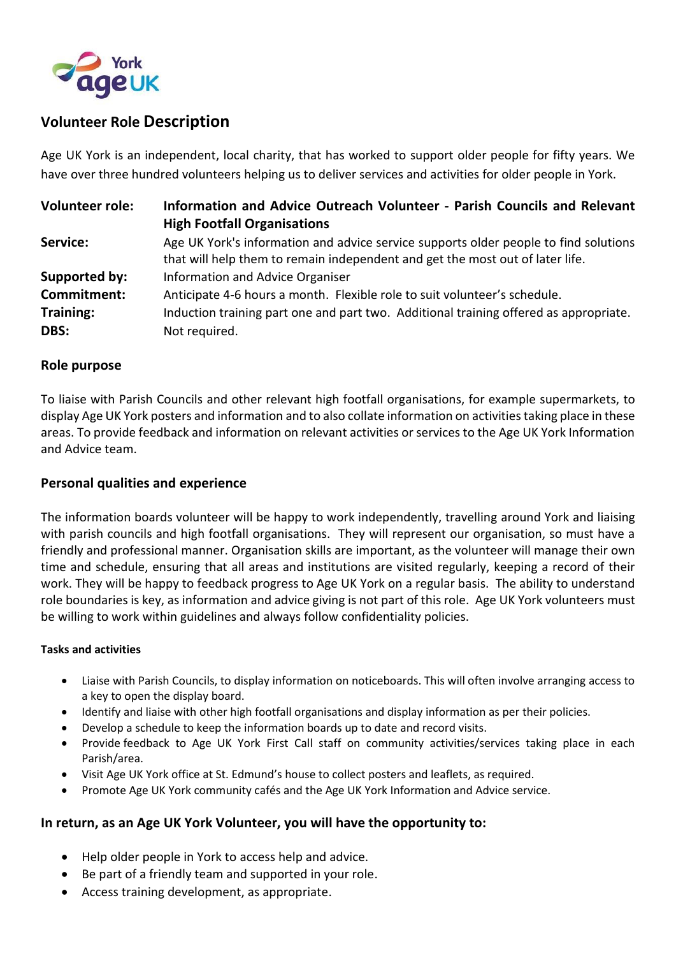

# **Volunteer Role Description**

Age UK York is an independent, local charity, that has worked to support older people for fifty years. We have over three hundred volunteers helping us to deliver services and activities for older people in York.

| <b>Volunteer role:</b> | Information and Advice Outreach Volunteer - Parish Councils and Relevant<br><b>High Footfall Organisations</b>                                                        |
|------------------------|-----------------------------------------------------------------------------------------------------------------------------------------------------------------------|
| Service:               | Age UK York's information and advice service supports older people to find solutions<br>that will help them to remain independent and get the most out of later life. |
| Supported by:          | Information and Advice Organiser                                                                                                                                      |
| Commitment:            | Anticipate 4-6 hours a month. Flexible role to suit volunteer's schedule.                                                                                             |
| Training:              | Induction training part one and part two. Additional training offered as appropriate.                                                                                 |
| DBS:                   | Not required.                                                                                                                                                         |

#### **Role purpose**

To liaise with Parish Councils and other relevant high footfall organisations, for example supermarkets, to display Age UK York posters and information and to also collate information on activities taking place in these areas. To provide feedback and information on relevant activities or services to the Age UK York Information and Advice team.

## **Personal qualities and experience**

The information boards volunteer will be happy to work independently, travelling around York and liaising with parish councils and high footfall organisations. They will represent our organisation, so must have a friendly and professional manner. Organisation skills are important, as the volunteer will manage their own time and schedule, ensuring that all areas and institutions are visited regularly, keeping a record of their work. They will be happy to feedback progress to Age UK York on a regular basis. The ability to understand role boundaries is key, as information and advice giving is not part of this role. Age UK York volunteers must be willing to work within guidelines and always follow confidentiality policies.

#### **Tasks and activities**

- Liaise with Parish Councils, to display information on noticeboards. This will often involve arranging access to a key to open the display board.
- Identify and liaise with other high footfall organisations and display information as per their policies.
- Develop a schedule to keep the information boards up to date and record visits.
- Provide feedback to Age UK York First Call staff on community activities/services taking place in each Parish/area.
- Visit Age UK York office at St. Edmund's house to collect posters and leaflets, as required.
- Promote Age UK York community cafés and the Age UK York Information and Advice service.

## **In return, as an Age UK York Volunteer, you will have the opportunity to:**

- Help older people in York to access help and advice.
- Be part of a friendly team and supported in your role.
- Access training development, as appropriate.